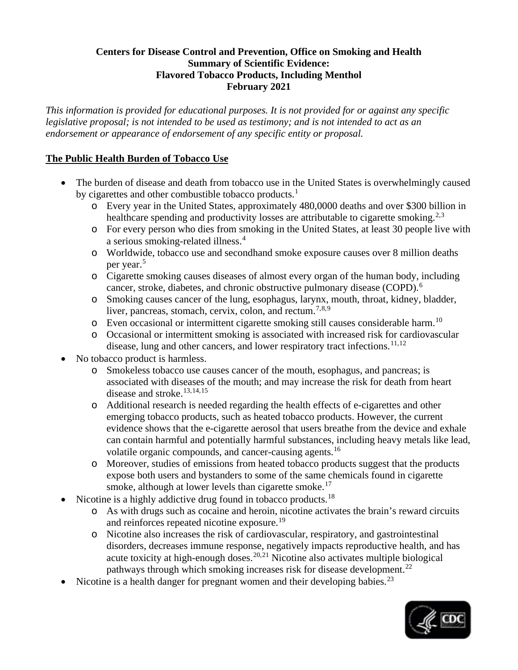## **Centers for Disease Control and Prevention, Office on Smoking and Health Summary of Scientific Evidence: Flavored Tobacco Products, Including Menthol February 2021**

*This information is provided for educational purposes. It is not provided for or against any specific legislative proposal; is not intended to be used as testimony; and is not intended to act as an endorsement or appearance of endorsement of any specific entity or proposal.* 

# **The Public Health Burden of Tobacco Use**

- The burden of disease and death from tobacco use in the United States is overwhelmingly caused by cigarettes and other combustible tobacco products.<sup>[1](#page-6-0)</sup>
	- o Every year in the United States, approximately 480,0000 deaths and over \$300 billion in healthcare spending and productivity losses are attributable to cigarette smoking.<sup>[2](#page-6-1),[3](#page-6-2)</sup>
	- o For every person who dies from smoking in the United States, at least 30 people live with a serious smoking-related illness.<sup>[4](#page-6-3)</sup>
	- o Worldwide, tobacco use and secondhand smoke exposure causes over 8 million deaths per year.<sup>[5](#page-6-4)</sup>
	- o Cigarette smoking causes diseases of almost every organ of the human body, including cancer, stroke, diabetes, and chronic obstructive pulmonary disease (COPD).<sup>[6](#page-6-5)</sup>
	- o Smoking causes cancer of the lung, esophagus, larynx, mouth, throat, kidney, bladder, liver, pancreas, stomach, cervix, colon, and rectum.<sup>[7,](#page-6-6)[8](#page-6-7),[9](#page-6-8)</sup>
	- $\circ$  Even occasional or intermittent cigarette smoking still causes considerable harm.<sup>[10](#page-7-0)</sup>
	- o Occasional or intermittent smoking is associated with increased risk for cardiovascular disease, lung and other cancers, and lower respiratory tract infections.<sup>[11,](#page-7-1)[12](#page-7-2)</sup>
- No tobacco product is harmless.
	- o Smokeless tobacco use causes cancer of the mouth, esophagus, and pancreas; is associated with diseases of the mouth; and may increase the risk for death from heart disease and stroke.[13,](#page-7-3)[14](#page-7-4),[15](#page-7-5)
	- o Additional research is needed regarding the health effects of e-cigarettes and other emerging tobacco products, such as heated tobacco products. However, the current evidence shows that the e-cigarette aerosol that users breathe from the device and exhale can contain harmful and potentially harmful substances, including heavy metals like lead, volatile organic compounds, and cancer-causing agents.<sup>16</sup>
	- o Moreover, studies of emissions from heated tobacco products suggest that the products expose both users and bystanders to some of the same chemicals found in cigarette smoke, although at lower levels than cigarette smoke.<sup>[17](#page-7-7)</sup>
- Nicotine is a highly addictive drug found in tobacco products.<sup>18</sup>
	- o As with drugs such as cocaine and heroin, nicotine activates the brain's reward circuits and reinforces repeated nicotine exposure.<sup>19</sup>
	- o Nicotine also increases the risk of cardiovascular, respiratory, and gastrointestinal disorders, decreases immune response, negatively impacts reproductive health, and has acute toxicity at high-enough doses.<sup>[20,](#page-7-10)[21](#page-7-11)</sup> Nicotine also activates multiple biological pathways through which smoking increases risk for disease development.<sup>[22](#page-7-12)</sup>
- Nicotine is a health danger for pregnant women and their developing babies.<sup>[23](#page-7-13)</sup>

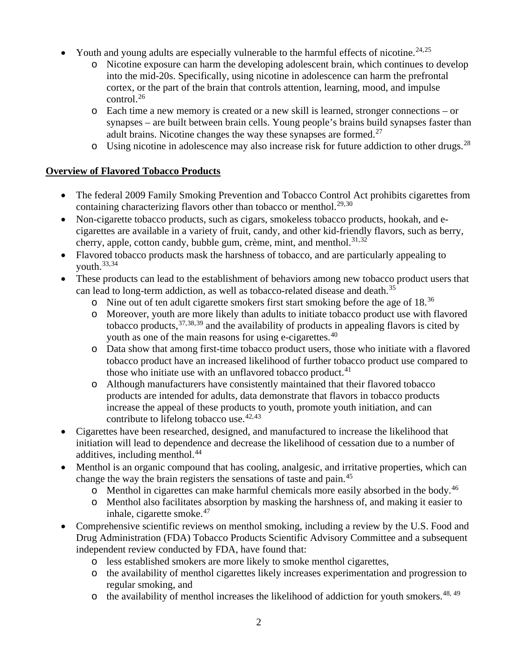- Youth and young adults are especially vulnerable to the harmful effects of nicotine.<sup>[24,](#page-7-14)[25](#page-7-15)</sup>
	- o Nicotine exposure can harm the developing adolescent brain, which continues to develop into the mid-20s. Specifically, using nicotine in adolescence can harm the prefrontal cortex, or the part of the brain that controls attention, learning, mood, and impulse control.[26](#page-7-16)
	- o Each time a new memory is created or a new skill is learned, stronger connections or synapses – are built between brain cells. Young people's brains build synapses faster than adult brains. Nicotine changes the way these synapses are formed.<sup>[27](#page-7-17)</sup>
	- $\circ$  Using nicotine in adolescence may also increase risk for future addiction to other drugs.<sup>[28](#page-7-18)</sup>

## **Overview of Flavored Tobacco Products**

- The federal 2009 Family Smoking Prevention and Tobacco Control Act prohibits cigarettes from containing characterizing flavors other than tobacco or menthol.<sup>[29](#page-7-19),[30](#page-7-20)</sup>
- Non-cigarette tobacco products, such as cigars, smokeless tobacco products, hookah, and ecigarettes are available in a variety of fruit, candy, and other kid-friendly flavors, such as berry, cherry, apple, cotton candy, bubble gum, crème, mint, and menthol.<sup>[31,](#page-8-0)[32](#page-8-1)</sup>
- Flavored tobacco products mask the harshness of tobacco, and are particularly appealing to vouth. $33,34$  $33,34$
- These products can lead to the establishment of behaviors among new tobacco product users that can lead to long-term addiction, as well as tobacco-related disease and death.<sup>[35](#page-8-4)</sup>
	- o Nine out of ten adult cigarette smokers first start smoking before the age of 18.[36](#page-8-5)
	- o Moreover, youth are more likely than adults to initiate tobacco product use with flavored tobacco products,  $37,38,39$  $37,38,39$  $37,38,39$  $37,38,39$  and the availability of products in appealing flavors is cited by youth as one of the main reasons for using e-cigarettes.<sup>[40](#page-8-9)</sup>
	- o Data show that among first-time tobacco product users, those who initiate with a flavored tobacco product have an increased likelihood of further tobacco product use compared to those who initiate use with an unflavored tobacco product. $41$
	- o Although manufacturers have consistently maintained that their flavored tobacco products are intended for adults, data demonstrate that flavors in tobacco products increase the appeal of these products to youth, promote youth initiation, and can contribute to lifelong tobacco use.  $42,43$  $42,43$  $42,43$
- Cigarettes have been researched, designed, and manufactured to increase the likelihood that initiation will lead to dependence and decrease the likelihood of cessation due to a number of additives, including menthol.<sup>[44](#page-8-13)</sup>
- Menthol is an organic compound that has cooling, analgesic, and irritative properties, which can change the way the brain registers the sensations of taste and pain.<sup>[45](#page-8-14)</sup>
	- $\circ$  Menthol in cigarettes can make harmful chemicals more easily absorbed in the body.<sup>[46](#page-8-15)</sup>
	- o Menthol also facilitates absorption by masking the harshness of, and making it easier to inhale, cigarette smoke.<sup>[47](#page-8-16)</sup>
- Comprehensive scientific reviews on menthol smoking, including a review by the U.S. Food and Drug Administration (FDA) Tobacco Products Scientific Advisory Committee and a subsequent independent review conducted by FDA, have found that:
	- o less established smokers are more likely to smoke menthol cigarettes,
	- o the availability of menthol cigarettes likely increases experimentation and progression to regular smoking, and
	- $\circ$  the availability of menthol increases the likelihood of addiction for youth smokers.<sup>[48,](#page-8-17) [49](#page-8-18)</sup>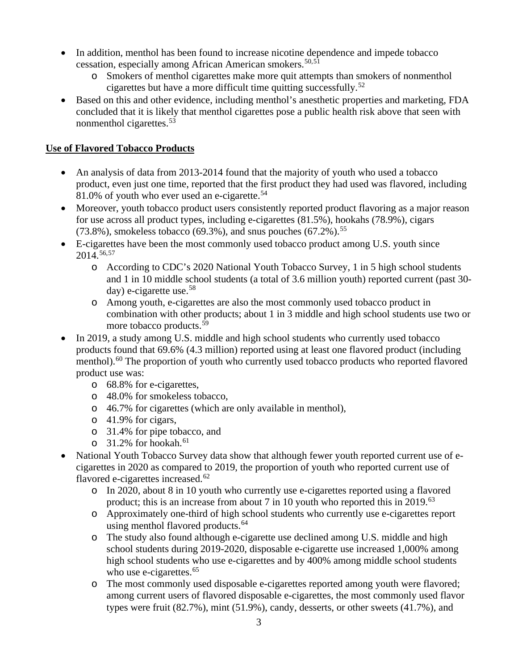- In addition, menthol has been found to increase nicotine dependence and impede tobacco cessation, especially among African American smokers.<sup>[50](#page-8-19),[51](#page-9-0)</sup>
	- o Smokers of menthol cigarettes make more quit attempts than smokers of nonmenthol cigarettes but have a more difficult time quitting successfully.[52](#page-9-1)
- Based on this and other evidence, including menthol's anesthetic properties and marketing, FDA concluded that it is likely that menthol cigarettes pose a public health risk above that seen with nonmenthol cigarettes. [53](#page-9-2)

## **Use of Flavored Tobacco Products**

- An analysis of data from 2013-2014 found that the majority of youth who used a tobacco product, even just one time, reported that the first product they had used was flavored, including 81.0% of youth who ever used an e-cigarette.<sup>[54](#page-9-3)</sup>
- Moreover, youth tobacco product users consistently reported product flavoring as a major reason for use across all product types, including e-cigarettes (81.5%), hookahs (78.9%), cigars  $(73.8\%)$ , smokeless tobacco (69.3%), and snus pouches (67.2%).<sup>[55](#page-9-4)</sup>
- E-cigarettes have been the most commonly used tobacco product among U.S. youth since 2014.[56,](#page-9-5)[57](#page-9-6)
	- o According to CDC's 2020 National Youth Tobacco Survey, 1 in 5 high school students and 1 in 10 middle school students (a total of 3.6 million youth) reported current (past 30  $day)$  e-cigarette use.<sup>[58](#page-9-7)</sup>
	- o Among youth, e-cigarettes are also the most commonly used tobacco product in combination with other products; about 1 in 3 middle and high school students use two or more tobacco products.<sup>[59](#page-9-8)</sup>
- In 2019, a study among U.S. middle and high school students who currently used tobacco products found that 69.6% (4.3 million) reported using at least one flavored product (including menthol).<sup>[60](#page-9-9)</sup> The proportion of youth who currently used tobacco products who reported flavored product use was:
	- o 68.8% for e-cigarettes,
	- o 48.0% for smokeless tobacco,
	- o 46.7% for cigarettes (which are only available in menthol),
	- o 41.9% for cigars,
	- o 31.4% for pipe tobacco, and
	- $\circ$  31.2% for hookah.<sup>61</sup>
- National Youth Tobacco Survey data show that although fewer youth reported current use of ecigarettes in 2020 as compared to 2019, the proportion of youth who reported current use of flavored e-cigarettes increased.<sup>[62](#page-9-10)</sup>
	- o In 2020, about 8 in 10 youth who currently use e-cigarettes reported using a flavored product; this is an increase from about 7 in 10 youth who reported this in 2019.<sup>[63](#page-9-11)</sup>
	- o Approximately one-third of high school students who currently use e-cigarettes report using menthol flavored products.<sup>[64](#page-9-12)</sup>
	- o The study also found although e-cigarette use declined among U.S. middle and high school students during 2019-2020, disposable e-cigarette use increased 1,000% among high school students who use e-cigarettes and by 400% among middle school students who use e-cigarettes. $65$
	- o The most commonly used disposable e-cigarettes reported among youth were flavored; among current users of flavored disposable e-cigarettes, the most commonly used flavor types were fruit (82.7%), mint (51.9%), candy, desserts, or other sweets (41.7%), and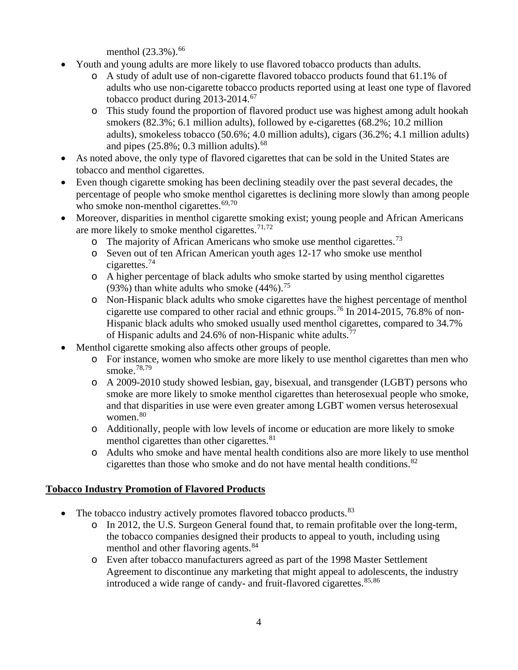menthol (23.3%). [66](#page-9-14)

- Youth and young adults are more likely to use flavored tobacco products than adults.
	- o A study of adult use of non-cigarette flavored tobacco products found that 61.1% of adults who use non-cigarette tobacco products reported using at least one type of flavored tobacco product during 2013-2014.<sup>[67](#page-9-15)</sup>
	- o This study found the proportion of flavored product use was highest among adult hookah smokers (82.3%; 6.1 million adults), followed by e-cigarettes (68.2%; 10.2 million adults), smokeless tobacco (50.6%; 4.0 million adults), cigars (36.2%; 4.1 million adults) and pipes  $(25.8\%; 0.3 \text{ million adults})$ .<sup>[68](#page-9-16)</sup>
- As noted above, the only type of flavored cigarettes that can be sold in the United States are tobacco and menthol cigarettes.
- Even though cigarette smoking has been declining steadily over the past several decades, the percentage of people who smoke menthol cigarettes is declining more slowly than among people who smoke non-menthol cigarettes. $69,70$  $69,70$
- Moreover, disparities in menthol cigarette smoking exist; young people and African Americans are more likely to smoke menthol cigarettes.<sup>[71](#page-9-19),[72](#page-10-0)</sup>
	- $\circ$  The majority of African Americans who smoke use menthol cigarettes.<sup>[73](#page-10-1)</sup>
	- o Seven out of ten African American youth ages 12-17 who smoke use menthol cigarettes.[74](#page-10-2)
	- o A higher percentage of black adults who smoke started by using menthol cigarettes (93%) than white adults who smoke  $(44\%)$ .<sup>[75](#page-10-3)</sup>
	- o Non-Hispanic black adults who smoke cigarettes have the highest percentage of menthol cigarette use compared to other racial and ethnic groups.[76](#page-10-4) In 2014-2015, 76.8% of non-Hispanic black adults who smoked usually used menthol cigarettes, compared to 34.7% of Hispanic adults and 24.6% of non-Hispanic white adults.[77](#page-10-5)
- Menthol cigarette smoking also affects other groups of people.
	- o For instance, women who smoke are more likely to use menthol cigarettes than men who smoke.[78,](#page-10-6)[79](#page-10-7)
	- o A 2009-2010 study showed lesbian, gay, bisexual, and transgender (LGBT) persons who smoke are more likely to smoke menthol cigarettes than heterosexual people who smoke, and that disparities in use were even greater among LGBT women versus heterosexual women.<sup>[80](#page-10-8)</sup>
	- o Additionally, people with low levels of income or education are more likely to smoke menthol cigarettes than other cigarettes.<sup>[81](#page-10-9)</sup>
	- o Adults who smoke and have mental health conditions also are more likely to use menthol cigarettes than those who smoke and do not have mental health conditions. $82$

### **Tobacco Industry Promotion of Flavored Products**

- The tobacco industry actively promotes flavored tobacco products.  $83$ 
	- o In 2012, the U.S. Surgeon General found that, to remain profitable over the long-term, the tobacco companies designed their products to appeal to youth, including using menthol and other flavoring agents.<sup>[84](#page-10-12)</sup>
	- o Even after tobacco manufacturers agreed as part of the 1998 Master Settlement Agreement to discontinue any marketing that might appeal to adolescents, the industry introduced a wide range of candy- and fruit-flavored cigarettes.  $85,86$  $85,86$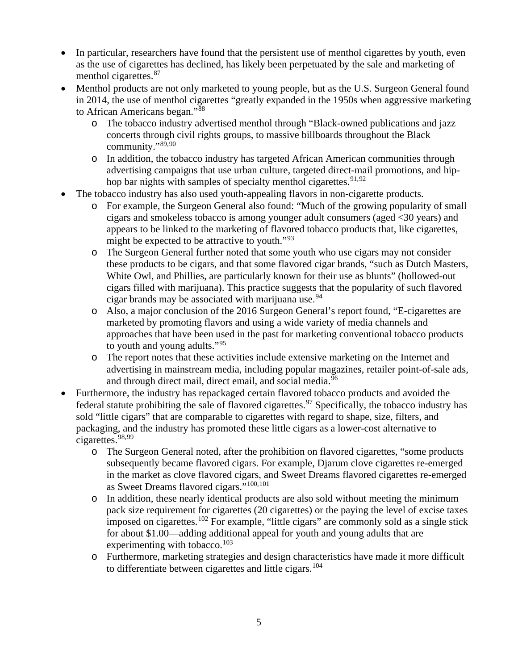- In particular, researchers have found that the persistent use of menthol cigarettes by youth, even as the use of cigarettes has declined, has likely been perpetuated by the sale and marketing of menthol cigarettes.<sup>[87](#page-10-15)</sup>
- Menthol products are not only marketed to young people, but as the U.S. Surgeon General found in 2014, the use of menthol cigarettes "greatly expanded in the 1950s when aggressive marketing to African Americans began."<sup>[88](#page-10-16)</sup>
	- o The tobacco industry advertised menthol through "Black-owned publications and jazz concerts through civil rights groups, to massive billboards throughout the Black community."[89,](#page-10-17)[90](#page-10-18)
	- o In addition, the tobacco industry has targeted African American communities through advertising campaigns that use urban culture, targeted direct-mail promotions, and hip-hop bar nights with samples of specialty menthol cigarettes.<sup>[91](#page-10-19),[92](#page-10-20)</sup>
- The tobacco industry has also used youth-appealing flavors in non-cigarette products.
	- o For example, the Surgeon General also found: "Much of the growing popularity of small cigars and smokeless tobacco is among younger adult consumers (aged <30 years) and appears to be linked to the marketing of flavored tobacco products that, like cigarettes, might be expected to be attractive to youth. $193$  $193$
	- o The Surgeon General further noted that some youth who use cigars may not consider these products to be cigars, and that some flavored cigar brands, "such as Dutch Masters, White Owl, and Phillies, are particularly known for their use as blunts" (hollowed-out cigars filled with marijuana). This practice suggests that the popularity of such flavored cigar brands may be associated with marijuana use.  $94$
	- o Also, a major conclusion of the 2016 Surgeon General's report found, "E-cigarettes are marketed by promoting flavors and using a wide variety of media channels and approaches that have been used in the past for marketing conventional tobacco products to youth and young adults."[95](#page-10-23)
	- o The report notes that these activities include extensive marketing on the Internet and advertising in mainstream media, including popular magazines, retailer point-of-sale ads, and through direct mail, direct email, and social media.<sup>[96](#page-10-24)</sup>
- Furthermore, the industry has repackaged certain flavored tobacco products and avoided the federal statute prohibiting the sale of flavored cigarettes.<sup>[97](#page-11-0)</sup> Specifically, the tobacco industry has sold "little cigars" that are comparable to cigarettes with regard to shape, size, filters, and packaging, and the industry has promoted these little cigars as a lower-cost alternative to cigarettes.<sup>[98,](#page-11-1)[99](#page-11-2)</sup>
	- o The Surgeon General noted, after the prohibition on flavored cigarettes, "some products subsequently became flavored cigars. For example, Djarum clove cigarettes re-emerged in the market as clove flavored cigars, and Sweet Dreams flavored cigarettes re-emerged as Sweet Dreams flavored cigars."[100](#page-11-3),[101](#page-11-4)
	- o In addition, these nearly identical products are also sold without meeting the minimum pack size requirement for cigarettes (20 cigarettes) or the paying the level of excise taxes imposed on cigarettes.<sup>[102](#page-11-5)</sup> For example, "little cigars" are commonly sold as a single stick for about \$1.00—adding additional appeal for youth and young adults that are experimenting with tobacco.<sup>[103](#page-11-6)</sup>
	- o Furthermore, marketing strategies and design characteristics have made it more difficult to differentiate between cigarettes and little cigars.<sup>[104](#page-11-7)</sup>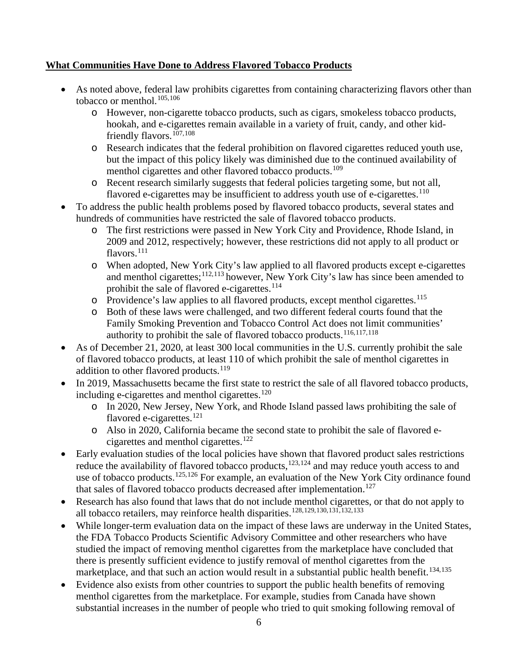## **What Communities Have Done to Address Flavored Tobacco Products**

- As noted above, federal law prohibits cigarettes from containing characterizing flavors other than tobacco or menthol.<sup>[105](#page-11-8),[106](#page-11-9)</sup>
	- o However, non-cigarette tobacco products, such as cigars, smokeless tobacco products, hookah, and e-cigarettes remain available in a variety of fruit, candy, and other kid-friendly flavors.<sup>[107,](#page-11-10)[108](#page-11-11)</sup>
	- o Research indicates that the federal prohibition on flavored cigarettes reduced youth use, but the impact of this policy likely was diminished due to the continued availability of menthol cigarettes and other flavored tobacco products.<sup>[109](#page-11-12)</sup>
	- o Recent research similarly suggests that federal policies targeting some, but not all, flavored e-cigarettes may be insufficient to address youth use of e-cigarettes.<sup>[110](#page-11-13)</sup>
- To address the public health problems posed by flavored tobacco products, several states and hundreds of communities have restricted the sale of flavored tobacco products.
	- o The first restrictions were passed in New York City and Providence, Rhode Island, in 2009 and 2012, respectively; however, these restrictions did not apply to all product or flavors.<sup>[111](#page-11-14)</sup>
	- o When adopted, New York City's law applied to all flavored products except e-cigarettes and menthol cigarettes;  $\frac{112,113}{2}$  $\frac{112,113}{2}$  $\frac{112,113}{2}$  $\frac{112,113}{2}$  however, New York City's law has since been amended to prohibit the sale of flavored e-cigarettes.<sup>[114](#page-11-17)</sup>
	- o Providence's law applies to all flavored products, except menthol cigarettes.[115](#page-11-18)
	- o Both of these laws were challenged, and two different federal courts found that the Family Smoking Prevention and Tobacco Control Act does not limit communities' authority to prohibit the sale of flavored tobacco products.[116](#page-11-19),[117,](#page-11-20)[118](#page-11-21)
- As of December 21, 2020, at least 300 local communities in the U.S. currently prohibit the sale of flavored tobacco products, at least 110 of which prohibit the sale of menthol cigarettes in addition to other flavored products.<sup>[119](#page-12-0)</sup>
- In 2019, Massachusetts became the first state to restrict the sale of all flavored tobacco products, including e-cigarettes and menthol cigarettes.<sup>[120](#page-12-1)</sup>
	- o In 2020, New Jersey, New York, and Rhode Island passed laws prohibiting the sale of flavored e-cigarettes.<sup>[121](#page-12-2)</sup>
	- o Also in 2020, California became the second state to prohibit the sale of flavored e-cigarettes and menthol cigarettes.<sup>[122](#page-12-3)</sup>
- Early evaluation studies of the local policies have shown that flavored product sales restrictions reduce the availability of flavored tobacco products, $123,124$  $123,124$  and may reduce youth access to and use of tobacco products.<sup>[125](#page-12-6),[126](#page-12-7)</sup> For example, an evaluation of the New York City ordinance found that sales of flavored tobacco products decreased after implementation.<sup>[127](#page-12-8)</sup>
- Research has also found that laws that do not include menthol cigarettes, or that do not apply to all tobacco retailers, may reinforce health disparities.[128](#page-12-9),[129,](#page-12-10)[130](#page-12-11),[131,](#page-12-12)[132](#page-12-13),[133](#page-12-14)
- While longer-term evaluation data on the impact of these laws are underway in the United States, the FDA Tobacco Products Scientific Advisory Committee and other researchers who have studied the impact of removing menthol cigarettes from the marketplace have concluded that there is presently sufficient evidence to justify removal of menthol cigarettes from the marketplace, and that such an action would result in a substantial public health benefit.<sup>[134](#page-12-15),[135](#page-12-16)</sup>
- Evidence also exists from other countries to support the public health benefits of removing menthol cigarettes from the marketplace. For example, studies from Canada have shown substantial increases in the number of people who tried to quit smoking following removal of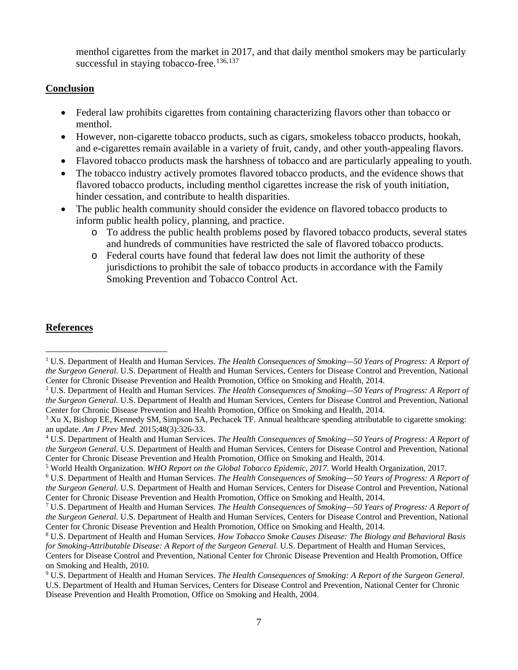menthol cigarettes from the market in 2017, and that daily menthol smokers may be particularly successful in staying tobacco-free.<sup>[136,](#page-12-17)[137](#page-12-18)</sup>

#### **Conclusion**

- Federal law prohibits cigarettes from containing characterizing flavors other than tobacco or menthol.
- However, non-cigarette tobacco products, such as cigars, smokeless tobacco products, hookah, and e-cigarettes remain available in a variety of fruit, candy, and other youth-appealing flavors.
- Flavored tobacco products mask the harshness of tobacco and are particularly appealing to youth.
- The tobacco industry actively promotes flavored tobacco products, and the evidence shows that flavored tobacco products, including menthol cigarettes increase the risk of youth initiation, hinder cessation, and contribute to health disparities.
- The public health community should consider the evidence on flavored tobacco products to inform public health policy, planning, and practice.
	- o To address the public health problems posed by flavored tobacco products, several states and hundreds of communities have restricted the sale of flavored tobacco products.
	- o Federal courts have found that federal law does not limit the authority of these jurisdictions to prohibit the sale of tobacco products in accordance with the Family Smoking Prevention and Tobacco Control Act.

### **References**

<span id="page-6-0"></span><sup>1</sup> U.S. Department of Health and Human Services. *The Health Consequences of Smoking—50 Years of Progress: A Report of the Surgeon General.* U.S. Department of Health and Human Services, Centers for Disease Control and Prevention, National Center for Chronic Disease Prevention and Health Promotion, Office on Smoking and Health, 2014.

<span id="page-6-1"></span><sup>2</sup> U.S. Department of Health and Human Services. *The Health Consequences of Smoking—50 Years of Progress: A Report of the Surgeon General.* U.S. Department of Health and Human Services, Centers for Disease Control and Prevention, National Center for Chronic Disease Prevention and Health Promotion, Office on Smoking and Health, 2014.

<span id="page-6-2"></span><sup>&</sup>lt;sup>3</sup> Xu X, Bishop EE, Kennedy SM, Simpson SA, Pechacek TF. Annual healthcare spending attributable to cigarette smoking: an update. *Am J Prev Med.* 2015;48(3):326-33.

<span id="page-6-3"></span><sup>4</sup> U.S. Department of Health and Human Services. *The Health Consequences of Smoking—50 Years of Progress: A Report of the Surgeon General.* U.S. Department of Health and Human Services, Centers for Disease Control and Prevention, National Center for Chronic Disease Prevention and Health Promotion, Office on Smoking and Health, 2014.

<span id="page-6-4"></span><sup>5</sup> World Health Organization. *WHO Report on the Global Tobacco Epidemic, 2017*. World Health Organization, 2017.

<span id="page-6-5"></span><sup>6</sup> U.S. Department of Health and Human Services. *The Health Consequences of Smoking—50 Years of Progress: A Report of the Surgeon General.* U.S. Department of Health and Human Services, Centers for Disease Control and Prevention, National Center for Chronic Disease Prevention and Health Promotion, Office on Smoking and Health, 2014.

<span id="page-6-6"></span><sup>7</sup> U.S. Department of Health and Human Services. *The Health Consequences of Smoking—50 Years of Progress: A Report of the Surgeon General.* U.S. Department of Health and Human Services, Centers for Disease Control and Prevention, National Center for Chronic Disease Prevention and Health Promotion, Office on Smoking and Health, 2014.

<span id="page-6-7"></span><sup>8</sup> U.S. Department of Health and Human Services. *How Tobacco Smoke Causes Disease: The Biology and Behavioral Basis for Smoking-Attributable Disease: A Report of the Surgeon General*. U.S. Department of Health and Human Services,

Centers for Disease Control and Prevention, National Center for Chronic Disease Prevention and Health Promotion, Office on Smoking and Health, 2010.

<span id="page-6-8"></span><sup>9</sup> U.S. Department of Health and Human Services. *The Health Consequences of Smoking: A Report of the Surgeon General*. U.S. Department of Health and Human Services, Centers for Disease Control and Prevention, National Center for Chronic Disease Prevention and Health Promotion, Office on Smoking and Health, 2004.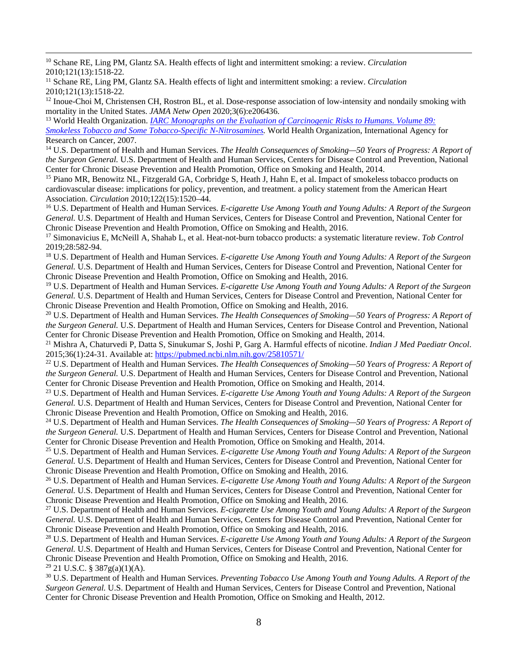<span id="page-7-0"></span><sup>10</sup> Schane RE, Ling PM, Glantz SA. Health effects of light and intermittent smoking: a review. *Circulation*  2010;121(13):1518-22*.*

<span id="page-7-1"></span><sup>11</sup> Schane RE, Ling PM, Glantz SA. Health effects of light and intermittent smoking: a review. *Circulation*  2010;121(13):1518-22*.*

<span id="page-7-2"></span> $12$  Inoue-Choi M, Christensen CH, Rostron BL, et al. Dose-response association of low-intensity and nondaily smoking with

<span id="page-7-3"></span>mortality in the United States. *JAMA Netw Open* 2020;3(6):e206436.<br><sup>13</sup> World Health Organization. *IARC Monographs on the Evaluation of Carcinogenic Risks to Humans. Volume 89: [Smokeless Tobacco and Some Tobacco-Specific N-Nitrosamines.](https://publications.iarc.fr/Book-And-Report-Series/Iarc-Monographs-On-The-Identification-Of-Carcinogenic-Hazards-To-Humans/Smokeless-Tobacco-And-Some-Tobacco-specific-Em-N-Em--Nitrosamines-2007)* World Health Organization, International Agency for Research on Cancer, 2007.

<span id="page-7-4"></span><sup>14</sup> U.S. Department of Health and Human Services. *The Health Consequences of Smoking—50 Years of Progress: A Report of the Surgeon General.* U.S. Department of Health and Human Services, Centers for Disease Control and Prevention, National Center for Chronic Disease Prevention and Health Promotion, Office on Smoking and Health, 2014.

<span id="page-7-5"></span><sup>15</sup> Piano MR, Benowitz NL, Fitzgerald GA, Corbridge S, Heath J, Hahn E, et al. Impact of smokeless tobacco products on cardiovascular disease: implications for policy, prevention, and treatment. a policy statement from the American Heart Association. *Circulation* 2010;122(15):1520–44.

<span id="page-7-6"></span><sup>16</sup> U.S. Department of Health and Human Services. *E-cigarette Use Among Youth and Young Adults: A Report of the Surgeon General.* U.S. Department of Health and Human Services, Centers for Disease Control and Prevention, National Center for Chronic Disease Prevention and Health Promotion, Office on Smoking and Health, 2016.

<span id="page-7-7"></span><sup>17</sup> Simonavicius E, McNeill A, Shahab L, et al. [Heat-not-burn tobacco products: a systematic literature review.](https://tobaccocontrol.bmj.com/content/28/5/582) *Tob Control* 2019;28:582-94.

<span id="page-7-8"></span><sup>18</sup> U.S. Department of Health and Human Services. *E-cigarette Use Among Youth and Young Adults: A Report of the Surgeon General.* U.S. Department of Health and Human Services, Centers for Disease Control and Prevention, National Center for Chronic Disease Prevention and Health Promotion, Office on Smoking and Health, 2016.

<span id="page-7-9"></span><sup>19</sup> U.S. Department of Health and Human Services. *E-cigarette Use Among Youth and Young Adults: A Report of the Surgeon General.* U.S. Department of Health and Human Services, Centers for Disease Control and Prevention, National Center for Chronic Disease Prevention and Health Promotion, Office on Smoking and Health, 2016.

<span id="page-7-10"></span><sup>20</sup> U.S. Department of Health and Human Services. *The Health Consequences of Smoking—50 Years of Progress: A Report of the Surgeon General.* U.S. Department of Health and Human Services, Centers for Disease Control and Prevention, National Center for Chronic Disease Prevention and Health Promotion, Office on Smoking and Health, 2014.

<span id="page-7-11"></span><sup>21</sup> Mishra A, Chaturvedi P, Datta S, Sinukumar S, Joshi P, Garg A. Harmful effects of nicotine. *Indian J Med Paediatr Oncol*. 2015;36(1):24-31. Available at:<https://pubmed.ncbi.nlm.nih.gov/25810571/>

<span id="page-7-12"></span><sup>22</sup> U.S. Department of Health and Human Services. *The Health Consequences of Smoking—50 Years of Progress: A Report of the Surgeon General.* U.S. Department of Health and Human Services, Centers for Disease Control and Prevention, National Center for Chronic Disease Prevention and Health Promotion, Office on Smoking and Health, 2014.

<span id="page-7-13"></span><sup>23</sup> U.S. Department of Health and Human Services. *E-cigarette Use Among Youth and Young Adults: A Report of the Surgeon General.* U.S. Department of Health and Human Services, Centers for Disease Control and Prevention, National Center for Chronic Disease Prevention and Health Promotion, Office on Smoking and Health, 2016.

<span id="page-7-14"></span><sup>24</sup> U.S. Department of Health and Human Services. *The Health Consequences of Smoking—50 Years of Progress: A Report of the Surgeon General.* U.S. Department of Health and Human Services, Centers for Disease Control and Prevention, National Center for Chronic Disease Prevention and Health Promotion, Office on Smoking and Health, 2014.

<span id="page-7-15"></span><sup>25</sup> U.S. Department of Health and Human Services. *E-cigarette Use Among Youth and Young Adults: A Report of the Surgeon General.* U.S. Department of Health and Human Services, Centers for Disease Control and Prevention, National Center for Chronic Disease Prevention and Health Promotion, Office on Smoking and Health, 2016.

<span id="page-7-16"></span><sup>26</sup> U.S. Department of Health and Human Services. *E-cigarette Use Among Youth and Young Adults: A Report of the Surgeon General.* U.S. Department of Health and Human Services, Centers for Disease Control and Prevention, National Center for Chronic Disease Prevention and Health Promotion, Office on Smoking and Health, 2016.

<span id="page-7-17"></span><sup>27</sup> U.S. Department of Health and Human Services. *E-cigarette Use Among Youth and Young Adults: A Report of the Surgeon General.* U.S. Department of Health and Human Services, Centers for Disease Control and Prevention, National Center for Chronic Disease Prevention and Health Promotion, Office on Smoking and Health, 2016.

<span id="page-7-18"></span><sup>28</sup> U.S. Department of Health and Human Services. *E-cigarette Use Among Youth and Young Adults: A Report of the Surgeon General.* U.S. Department of Health and Human Services, Centers for Disease Control and Prevention, National Center for Chronic Disease Prevention and Health Promotion, Office on Smoking and Health, 2016.

<span id="page-7-19"></span><sup>29</sup> 21 U.S.C. § 387g(a)(1)(A).

<span id="page-7-20"></span><sup>30</sup> U.S. Department of Health and Human Services. *Preventing Tobacco Use Among Youth and Young Adults. A Report of the Surgeon General.* U.S. Department of Health and Human Services, Centers for Disease Control and Prevention, National Center for Chronic Disease Prevention and Health Promotion, Office on Smoking and Health, 2012.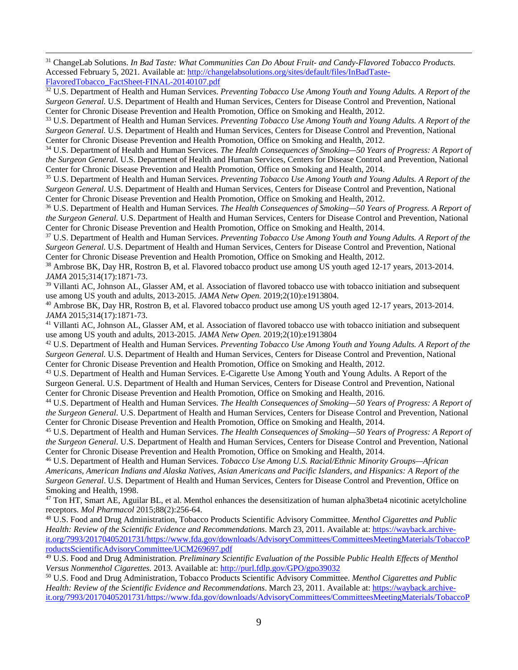<span id="page-8-0"></span><sup>31</sup> ChangeLab Solutions. *In Bad Taste: What Communities Can Do About Fruit- and Candy-Flavored Tobacco Products.*  Accessed February 5, 2021. Available at[: http://changelabsolutions.org/sites/default/files/InBadTaste-](http://changelabsolutions.org/sites/default/files/InBadTaste-FlavoredTobacco_FactSheet-FINAL-20140107.pdf)[FlavoredTobacco\\_FactSheet-FINAL-20140107.pdf](http://changelabsolutions.org/sites/default/files/InBadTaste-FlavoredTobacco_FactSheet-FINAL-20140107.pdf)

<span id="page-8-1"></span><sup>32</sup> U.S. Department of Health and Human Services. *Preventing Tobacco Use Among Youth and Young Adults. A Report of the Surgeon General.* U.S. Department of Health and Human Services, Centers for Disease Control and Prevention, National Center for Chronic Disease Prevention and Health Promotion, Office on Smoking and Health, 2012.

<span id="page-8-2"></span><sup>33</sup> U.S. Department of Health and Human Services. *Preventing Tobacco Use Among Youth and Young Adults. A Report of the Surgeon General.* U.S. Department of Health and Human Services, Centers for Disease Control and Prevention, National Center for Chronic Disease Prevention and Health Promotion, Office on Smoking and Health, 2012.

<span id="page-8-3"></span><sup>34</sup> U.S. Department of Health and Human Services. *The Health Consequences of Smoking—50 Years of Progress: A Report of the Surgeon General.* U.S. Department of Health and Human Services, Centers for Disease Control and Prevention, National Center for Chronic Disease Prevention and Health Promotion, Office on Smoking and Health, 2014.

<span id="page-8-4"></span><sup>35</sup> U.S. Department of Health and Human Services. *Preventing Tobacco Use Among Youth and Young Adults. A Report of the Surgeon General.* U.S. Department of Health and Human Services, Centers for Disease Control and Prevention, National Center for Chronic Disease Prevention and Health Promotion, Office on Smoking and Health, 2012.

<span id="page-8-5"></span><sup>36</sup> U.S. Department of Health and Human Services. *The Health Consequences of Smoking—50 Years of Progress. A Report of the Surgeon General.* U.S. Department of Health and Human Services, Centers for Disease Control and Prevention, National

<span id="page-8-6"></span>Center for Chronic Disease Prevention and Health Promotion, Office on Smoking and Health, 2014. 37 U.S. Department of Health and Human Services. *Preventing Tobacco Use Among Youth and Young Adults. A Report of the Surgeon General.* U.S. Department of Health and Human Services, Centers for Disease Control and Prevention, National Center for Chronic Disease Prevention and Health Promotion, Office on Smoking and Health, 2012.

<span id="page-8-7"></span><sup>38</sup> Ambrose BK, Day HR, Rostron B, et al. Flavored tobacco product use among US youth aged 12-17 years, 2013-2014. *JAMA* 2015;314(17):1871-73.

<span id="page-8-8"></span><sup>39</sup> Villanti AC, Johnson AL, Glasser AM, et al. Association of flavored tobacco use with tobacco initiation and subsequent

<span id="page-8-9"></span>use among US youth and adults, 2013-2015. *JAMA Netw Open*. 2019;2(10):e1913804.<br><sup>40</sup> Ambrose BK, Day HR, Rostron B, et al. Flavored tobacco product use among US youth aged 12-17 years, 2013-2014.<br>*JAMA* 2015;314(17):1871-

<span id="page-8-10"></span><sup>41</sup> Villanti AC, Johnson AL, Glasser AM, et al. Association of flavored tobacco use with tobacco initiation and subsequent use among US youth and adults, 2013-2015. *JAMA Netw Open.* 2019;2(10):e1913804 42 U.S. Department of Health and Human Services. *Preventing Tobacco Use Among Youth and Young Adults. A Report of the* 

<span id="page-8-11"></span>*Surgeon General.* U.S. Department of Health and Human Services, Centers for Disease Control and Prevention, National Center for Chronic Disease Prevention and Health Promotion, Office on Smoking and Health, 2012.

<span id="page-8-12"></span><sup>43</sup> U.S. Department of Health and Human Services. E-Cigarette Use Among Youth and Young Adults. A Report of the Surgeon General. U.S. Department of Health and Human Services, Centers for Disease Control and Prevention, National Center for Chronic Disease Prevention and Health Promotion, Office on Smoking and Health, 2016.

<span id="page-8-13"></span><sup>44</sup> U.S. Department of Health and Human Services. *The Health Consequences of Smoking—50 Years of Progress: A Report of the Surgeon General*. U.S. Department of Health and Human Services, Centers for Disease Control and Prevention, National Center for Chronic Disease Prevention and Health Promotion, Office on Smoking and Health, 2014.

<span id="page-8-14"></span><sup>45</sup> U.S. Department of Health and Human Services. *The Health Consequences of Smoking—50 Years of Progress: A Report of the Surgeon General*. U.S. Department of Health and Human Services, Centers for Disease Control and Prevention, National Center for Chronic Disease Prevention and Health Promotion, Office on Smoking and Health, 2014.

<span id="page-8-15"></span><sup>46</sup> U.S. Department of Health and Human Services. *Tobacco Use Among U.S. Racial/Ethnic Minority Groups—African Americans, American Indians and Alaska Natives, Asian Americans and Pacific Islanders, and Hispanics: A Report of the Surgeon General*. U.S. Department of Health and Human Services, Centers for Disease Control and Prevention, Office on Smoking and Health, 1998.

<span id="page-8-16"></span> $47$  Ton HT, Smart AE, Aguilar BL, et al. Menthol enhances the desensitization of human alpha3beta4 nicotinic acetylcholine receptors. *Mol Pharmacol* 2015;88(2):256-64.

<span id="page-8-17"></span><sup>48</sup> U.S. Food and Drug Administration, Tobacco Products Scientific Advisory Committee. *Menthol Cigarettes and Public Health: Review of the Scientific Evidence and Recommendations*. March 23, 2011. Available at[: https://wayback.archive](https://wayback.archive-it.org/7993/20170405201731/https:/www.fda.gov/downloads/AdvisoryCommittees/CommitteesMeetingMaterials/TobaccoProductsScientificAdvisoryCommittee/UCM269697.pdf)[it.org/7993/20170405201731/https://www.fda.gov/downloads/AdvisoryCommittees/CommitteesMeetingMaterials/TobaccoP](https://wayback.archive-it.org/7993/20170405201731/https:/www.fda.gov/downloads/AdvisoryCommittees/CommitteesMeetingMaterials/TobaccoProductsScientificAdvisoryCommittee/UCM269697.pdf) [roductsScientificAdvisoryCommittee/UCM269697.pdf](https://wayback.archive-it.org/7993/20170405201731/https:/www.fda.gov/downloads/AdvisoryCommittees/CommitteesMeetingMaterials/TobaccoProductsScientificAdvisoryCommittee/UCM269697.pdf)

<span id="page-8-18"></span><sup>49</sup> U.S. Food and Drug Administration*. Preliminary Scientific Evaluation of the Possible Public Health Effects of Menthol Versus Nonmenthol Cigarettes.* 2013. Available at[: http://purl.fdlp.gov/GPO/gpo39032](http://purl.fdlp.gov/GPO/gpo39032)

<span id="page-8-19"></span><sup>50</sup> U.S. Food and Drug Administration, Tobacco Products Scientific Advisory Committee. *Menthol Cigarettes and Public Health: Review of the Scientific Evidence and Recommendations*. March 23, 2011. Available at[: https://wayback.archive](https://wayback.archive-it.org/7993/20170405201731/https:/www.fda.gov/downloads/AdvisoryCommittees/CommitteesMeetingMaterials/TobaccoProductsScientificAdvisoryCommittee/UCM269697.pdf)[it.org/7993/20170405201731/https://www.fda.gov/downloads/AdvisoryCommittees/CommitteesMeetingMaterials/TobaccoP](https://wayback.archive-it.org/7993/20170405201731/https:/www.fda.gov/downloads/AdvisoryCommittees/CommitteesMeetingMaterials/TobaccoProductsScientificAdvisoryCommittee/UCM269697.pdf)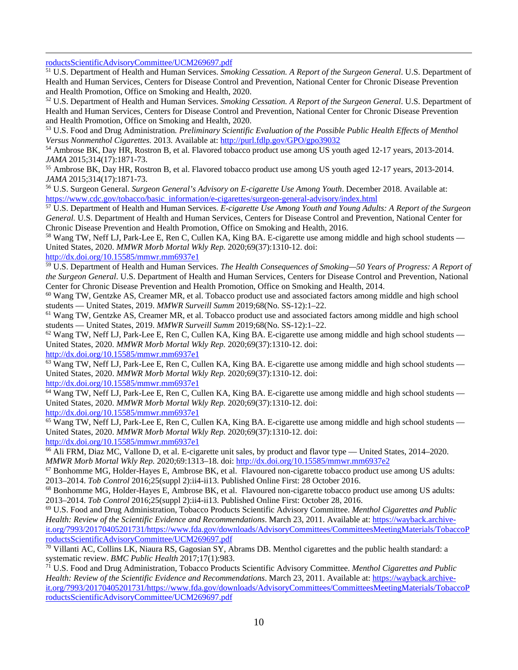[roductsScientificAdvisoryCommittee/UCM269697.pdf](https://wayback.archive-it.org/7993/20170405201731/https:/www.fda.gov/downloads/AdvisoryCommittees/CommitteesMeetingMaterials/TobaccoProductsScientificAdvisoryCommittee/UCM269697.pdf)

<span id="page-9-0"></span><sup>51</sup> U.S. Department of Health and Human Services. *Smoking Cessation. A Report of the Surgeon General*. U.S. Department of Health and Human Services, Centers for Disease Control and Prevention, National Center for Chronic Disease Prevention and Health Promotion, Office on Smoking and Health, 2020.

<span id="page-9-1"></span><sup>52</sup> U.S. Department of Health and Human Services. *Smoking Cessation. A Report of the Surgeon General*. U.S. Department of Health and Human Services, Centers for Disease Control and Prevention, National Center for Chronic Disease Prevention and Health Promotion, Office on Smoking and Health, 2020.

<span id="page-9-2"></span><sup>53</sup> U.S. Food and Drug Administration*. Preliminary Scientific Evaluation of the Possible Public Health Effects of Menthol*  Versus Nonmenthol Cigarettes. 2013. Available at[: http://purl.fdlp.gov/GPO/gpo39032](http://purl.fdlp.gov/GPO/gpo39032)

<span id="page-9-3"></span><sup>54</sup> Ambrose BK, Day HR, Rostron B, et al. Flavored tobacco product use among US youth aged 12-17 years, 2013-2014. *JAMA* 2015;314(17):1871-73.<br><sup>55</sup> Ambrose BK, Day HR, Rostron B, et al. Flavored tobacco product use among US youth aged 12-17 years, 2013-2014.

<span id="page-9-4"></span>*JAMA* 2015;314(17):1871-73.<br><sup>56</sup> U.S. Surgeon General. *Surgeon General's Advisory on E-cigarette Use Among Youth*. December 2018. Available at:

<span id="page-9-5"></span>[https://www.cdc.gov/tobacco/basic\\_information/e-cigarettes/surgeon-general-advisory/index.html](https://www.cdc.gov/tobacco/basic_information/e-cigarettes/surgeon-general-advisory/index.html)

<span id="page-9-6"></span><sup>57</sup> U.S. Department of Health and Human Services. *E-cigarette Use Among Youth and Young Adults: A Report of the Surgeon General.* U.S. Department of Health and Human Services, Centers for Disease Control and Prevention, National Center for Chronic Disease Prevention and Health Promotion, Office on Smoking and Health, 2016.

<span id="page-9-7"></span><sup>58</sup> Wang TW, Neff LJ, Park-Lee E, Ren C, Cullen KA, King BA. E-cigarette use among middle and high school students — United States, 2020. *MMWR Morb Mortal Wkly Rep.* 2020;69(37):1310-12. doi:

<http://dx.doi.org/10.15585/mmwr.mm6937e1>

<span id="page-9-8"></span><sup>59</sup> U.S. Department of Health and Human Services. *The Health Consequences of Smoking—50 Years of Progress: A Report of the Surgeon General*. U.S. Department of Health and Human Services, Centers for Disease Control and Prevention, National Center for Chronic Disease Prevention and Health Promotion, Office on Smoking and Health, 2014.

<span id="page-9-9"></span><sup>60</sup> Wang TW, Gentzke AS, Creamer MR, et al. Tobacco product use and associated factors among middle and high school students — United States, 2019. *MMWR Surveill Summ* 2019;68(No. SS-12):1–22.<br><sup>61</sup> Wang TW, Gentzke AS, Creamer MR, et al. Tobacco product use and associated factors among middle and high school

students — United States, 2019. *MMWR Surveill Summ* 2019;68(No. SS-12):1–22.<br><sup>62</sup> Wang TW, Neff LJ, Park-Lee E, Ren C, Cullen KA, King BA. E-cigarette use among middle and high school students —

<span id="page-9-10"></span>United States, 2020. *MMWR Morb Mortal Wkly Rep.* 2020;69(37):1310-12. doi:

<http://dx.doi.org/10.15585/mmwr.mm6937e1>

<span id="page-9-11"></span><sup>63</sup> Wang TW, Neff LJ, Park-Lee E, Ren C, Cullen KA, King BA. E-cigarette use among middle and high school students — United States, 2020. *MMWR Morb Mortal Wkly Rep.* 2020;69(37):1310-12. doi:

<http://dx.doi.org/10.15585/mmwr.mm6937e1>

<span id="page-9-12"></span><sup>64</sup> Wang TW, Neff LJ, Park-Lee E, Ren C, Cullen KA, King BA. E-cigarette use among middle and high school students — United States, 2020. *MMWR Morb Mortal Wkly Rep.* 2020;69(37):1310-12. doi: <http://dx.doi.org/10.15585/mmwr.mm6937e1>

<span id="page-9-13"></span><sup>65</sup> Wang TW, Neff LJ, Park-Lee E, Ren C, Cullen KA, King BA. E-cigarette use among middle and high school students — United States, 2020. *MMWR Morb Mortal Wkly Rep.* 2020;69(37):1310-12. doi:

<http://dx.doi.org/10.15585/mmwr.mm6937e1>

<span id="page-9-14"></span><sup>66</sup> Ali FRM, Diaz MC, Vallone D, et al. E-cigarette unit sales, by product and flavor type — United States, 2014–2020. *MMWR Morb Mortal Wkly Rep.* 2020;69:1313–18. doi:<http://dx.doi.org/10.15585/mmwr.mm6937e2>

<span id="page-9-15"></span> $67$  Bonhomme MG, Holder-Hayes E, Ambrose BK, et al. Flavoured non-cigarette tobacco product use among US adults: 2013–2014. *Tob Control* 2016;25(suppl 2):ii4-ii13. Published Online First: 28 October 2016.<br><sup>68</sup> Bonhomme MG, Holder-Hayes E, Ambrose BK, et al. Flavoured non-cigarette tobacco product use among US adults:

<span id="page-9-16"></span>2013–2014. *Tob Control* 2016;25(suppl 2):ii4-ii13. Published Online First: October 28, 2016.<br><sup>69</sup> U.S. Food and Drug Administration, Tobacco Products Scientific Advisory Committee. *Menthol Cigarettes and Public* 

<span id="page-9-17"></span>*Health: Review of the Scientific Evidence and Recommendations*. March 23, 2011. Available at[: https://wayback.archive](https://wayback.archive-it.org/7993/20170405201731/https:/www.fda.gov/downloads/AdvisoryCommittees/CommitteesMeetingMaterials/TobaccoProductsScientificAdvisoryCommittee/UCM269697.pdf)[it.org/7993/20170405201731/https://www.fda.gov/downloads/AdvisoryCommittees/CommitteesMeetingMaterials/TobaccoP](https://wayback.archive-it.org/7993/20170405201731/https:/www.fda.gov/downloads/AdvisoryCommittees/CommitteesMeetingMaterials/TobaccoProductsScientificAdvisoryCommittee/UCM269697.pdf) [roductsScientificAdvisoryCommittee/UCM269697.pdf](https://wayback.archive-it.org/7993/20170405201731/https:/www.fda.gov/downloads/AdvisoryCommittees/CommitteesMeetingMaterials/TobaccoProductsScientificAdvisoryCommittee/UCM269697.pdf)

<span id="page-9-18"></span><sup>70</sup> Villanti AC, Collins LK, Niaura RS, Gagosian SY, Abrams DB. Menthol cigarettes and [the public health standard: a](https://bmcpublichealth.biomedcentral.com/articles/10.1186/s12889-017-4987-z)  systematic review. *BMC Public Health* 2017;17(1):983.<br><sup>71</sup> U.S. Food and Drug Administration, Tobacco Products Scientific Advisory Committee. *Menthol Cigarettes and Public* 

<span id="page-9-19"></span>*Health: Review of the Scientific Evidence and Recommendations*. March 23, 2011. Available at[: https://wayback.archive](https://wayback.archive-it.org/7993/20170405201731/https:/www.fda.gov/downloads/AdvisoryCommittees/CommitteesMeetingMaterials/TobaccoProductsScientificAdvisoryCommittee/UCM269697.pdf)[it.org/7993/20170405201731/https://www.fda.gov/downloads/AdvisoryCommittees/CommitteesMeetingMaterials/TobaccoP](https://wayback.archive-it.org/7993/20170405201731/https:/www.fda.gov/downloads/AdvisoryCommittees/CommitteesMeetingMaterials/TobaccoProductsScientificAdvisoryCommittee/UCM269697.pdf) [roductsScientificAdvisoryCommittee/UCM269697.pdf](https://wayback.archive-it.org/7993/20170405201731/https:/www.fda.gov/downloads/AdvisoryCommittees/CommitteesMeetingMaterials/TobaccoProductsScientificAdvisoryCommittee/UCM269697.pdf)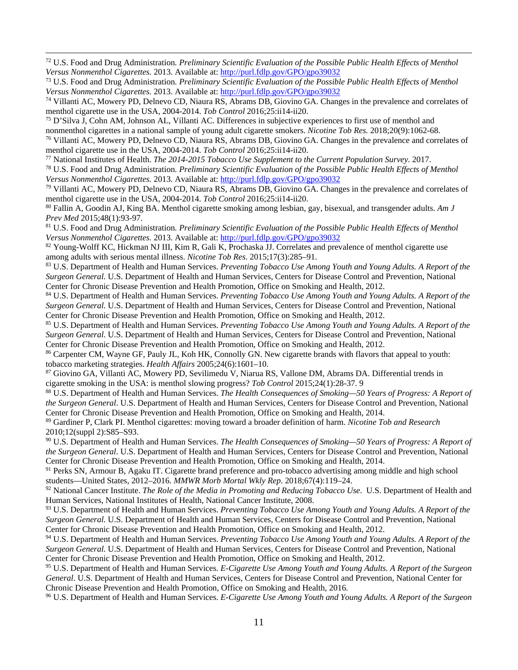<span id="page-10-0"></span><sup>72</sup> U.S. Food and Drug Administration*. Preliminary Scientific Evaluation of the Possible Public Health Effects of Menthol Versus Nonmenthol Cigarettes.* 2013. Available at[: http://purl.fdlp.gov/GPO/gpo39032](http://purl.fdlp.gov/GPO/gpo39032)

<span id="page-10-1"></span><sup>73</sup> U.S. Food and Drug Administration*. Preliminary Scientific Evaluation of the Possible Public Health Effects of Menthol Versus Nonmenthol Cigarettes.* 2013. Available at[: http://purl.fdlp.gov/GPO/gpo39032](http://purl.fdlp.gov/GPO/gpo39032)

<span id="page-10-2"></span><sup>74</sup> Villanti AC, Mowery PD, Delnevo CD, Niaura RS, Abrams DB, Giovino GA. [Changes in the prevalence and correlates of](http://dx.doi.org/10.1136/tobaccocontrol-2016-053329) menthol cigarette use in the USA, 2004-2014. *Tob Control* 2016;25:ii14-ii20.

<span id="page-10-3"></span><sup>75</sup> D'Silva J, Cohn AM, Johnson AL, Villanti AC. Differences in subjective experiences to first use of menthol and [nonmenthol cigarettes in a national sample of young adult cigarette smokers.](https://www.ncbi.nlm.nih.gov/pubmed/29059351/) *Nicotine Tob Res.* 2018;20(9):1062-68.

<span id="page-10-4"></span><sup>76</sup> Villanti AC, Mowery PD, Delnevo CD, Niaura RS, Abrams DB, Giovino GA. [Changes in the prevalence and correlates of](http://dx.doi.org/10.1136/tobaccocontrol-2016-053329) menthol cigarette use in the USA, 2004-2014. *Tob Control* 2016;25:ii14-ii20.

<span id="page-10-5"></span><sup>77</sup> National Institutes of Health. *[The 2014-2015 Tobacco Use Supplement to the Current Population Survey](https://cancercontrol.cancer.gov/sites/default/files/2020-06/a1_tus-cps-questionnaire.pdf)*. 2017.

<span id="page-10-6"></span><sup>78</sup> U.S. Food and Drug Administration*. Preliminary Scientific Evaluation of the Possible Public Health Effects of Menthol Versus Nonmenthol Cigarettes.* 2013. Available at[: http://purl.fdlp.gov/GPO/gpo39032](http://purl.fdlp.gov/GPO/gpo39032)

<span id="page-10-7"></span><sup>79</sup> Villanti AC, Mowery PD, Delnevo CD, Niaura RS, Abrams DB, Giovino GA. [Changes in the prevalence and correlates of](http://dx.doi.org/10.1136/tobaccocontrol-2016-053329)  menthol cigarette use in the USA, 2004-2014. *Tob Control* 2016;25:ii14-ii20.<br><sup>80</sup> Fallin A, Goodin AJ, King BA. [Menthol cigarette smoking among lesbian, gay, bisexual, and transgender adults.](https://www.ncbi.nlm.nih.gov/pubmed/25245795) *Am J* 

<span id="page-10-8"></span>*Prev Med* 2015;48(1):93-97.

<span id="page-10-9"></span><sup>81</sup> U.S. Food and Drug Administration*. Preliminary Scientific Evaluation of the Possible Public Health Effects of Menthol Versus Nonmenthol Cigarettes.* 2013. Available at[: http://purl.fdlp.gov/GPO/gpo39032](http://purl.fdlp.gov/GPO/gpo39032)

<span id="page-10-10"></span>82 Young-Wolff KC, Hickman NJ III, Kim R, Gali K, Prochaska JJ. Correlates and prevalence of menthol cigarette use [among adults with serious mental illness.](https://www.ncbi.nlm.nih.gov/pubmed/25190706) *Nicotine Tob Res*. 2015;17(3):285–91.

<span id="page-10-11"></span><sup>83</sup> U.S. Department of Health and Human Services. *Preventing Tobacco Use Among Youth and Young Adults. A Report of the Surgeon General.* U.S. Department of Health and Human Services, Centers for Disease Control and Prevention, National Center for Chronic Disease Prevention and Health Promotion, Office on Smoking and Health, 2012.

<span id="page-10-12"></span><sup>84</sup> U.S. Department of Health and Human Services. *Preventing Tobacco Use Among Youth and Young Adults. A Report of the Surgeon General.* U.S. Department of Health and Human Services, Centers for Disease Control and Prevention, National Center for Chronic Disease Prevention and Health Promotion, Office on Smoking and Health, 2012.

<span id="page-10-13"></span><sup>85</sup> U.S. Department of Health and Human Services. *Preventing Tobacco Use Among Youth and Young Adults. A Report of the Surgeon General.* U.S. Department of Health and Human Services, Centers for Disease Control and Prevention, National Center for Chronic Disease Prevention and Health Promotion, Office on Smoking and Health, 2012.

<span id="page-10-14"></span><sup>86</sup> Carpenter CM, Wayne GF, Pauly JL, Koh HK, Connolly GN. New cigarette brands with flavors that appeal to youth: tobacco marketing strategies. *Health Affairs* 2005;24(6):1601–10.

<span id="page-10-15"></span><sup>87</sup> Giovino GA, Villanti AC, Mowery PD, Sevilimedu V, Niarua RS, Vallone DM, Abrams DA. Differential trends in cigarette smoking in the USA: is menthol slowing progress? *Tob Control* 2015;24(1):28-37. 9

<span id="page-10-16"></span><sup>88</sup> U.S. Department of Health and Human Services. *The Health Consequences of Smoking—50 Years of Progress: A Report of the Surgeon General*. U.S. Department of Health and Human Services, Centers for Disease Control and Prevention, National Center for Chronic Disease Prevention and Health Promotion, Office on Smoking and Health, 2014.

<span id="page-10-17"></span><sup>89</sup> Gardiner P, Clark PI. Menthol cigarettes: moving toward a broader definition of harm. *Nicotine Tob and Research*  2010;12(suppl 2):S85–S93.

<span id="page-10-18"></span><sup>90</sup> U.S. Department of Health and Human Services. *The Health Consequences of Smoking—50 Years of Progress: A Report of the Surgeon General*. U.S. Department of Health and Human Services, Centers for Disease Control and Prevention, National Center for Chronic Disease Prevention and Health Promotion, Office on Smoking and Health, 2014.

<span id="page-10-19"></span><sup>91</sup> Perks SN, Armour B, Agaku IT. Cigarette brand preference and pro-tobacco advertising among middle and high school students—United States, 2012–2016. *MMWR Morb Mortal Wkly Rep*. 2018;67(4):119–24.

<span id="page-10-20"></span><sup>92</sup> National Cancer Institute. *[The Role of the Media in Promoting and Reducing Tobacco Use](https://cancercontrol.cancer.gov/brp/tcrb/monographs/monograph-19)*. U.S. Department of Health and Human Services, National Institutes of Health, National Cancer Institute, 2008.

<span id="page-10-21"></span><sup>93</sup> U.S. Department of Health and Human Services. *Preventing Tobacco Use Among Youth and Young Adults. A Report of the Surgeon General.* U.S. Department of Health and Human Services, Centers for Disease Control and Prevention, National Center for Chronic Disease Prevention and Health Promotion, Office on Smoking and Health, 2012.

<span id="page-10-22"></span><sup>94</sup> U.S. Department of Health and Human Services. *Preventing Tobacco Use Among Youth and Young Adults. A Report of the Surgeon General.* U.S. Department of Health and Human Services, Centers for Disease Control and Prevention, National Center for Chronic Disease Prevention and Health Promotion, Office on Smoking and Health, 2012.

<span id="page-10-23"></span><sup>95</sup> U.S. Department of Health and Human Services. *E-Cigarette Use Among Youth and Young Adults. A Report of the Surgeon General*. U.S. Department of Health and Human Services, Centers for Disease Control and Prevention, National Center for Chronic Disease Prevention and Health Promotion, Office on Smoking and Health, 2016.

<span id="page-10-24"></span><sup>96</sup> U.S. Department of Health and Human Services. *E-Cigarette Use Among Youth and Young Adults. A Report of the Surgeon*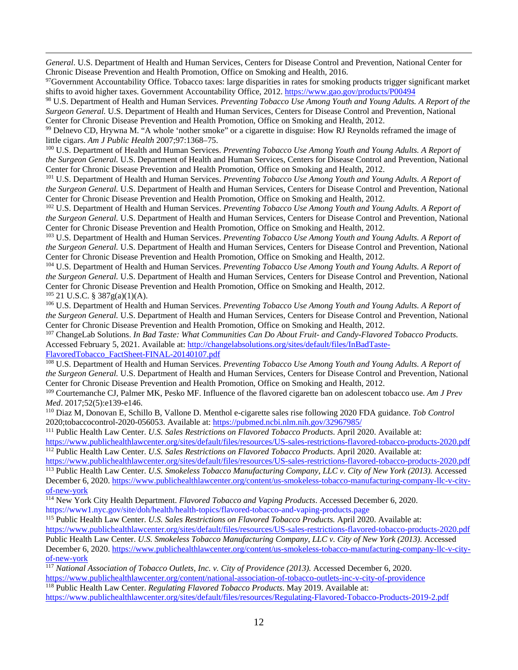*General*. U.S. Department of Health and Human Services, Centers for Disease Control and Prevention, National Center for Chronic Disease Prevention and Health Promotion, Office on Smoking and Health, 2016.

<span id="page-11-0"></span><sup>97</sup>Government Accountability Office. Tobacco taxes: large disparities in rates for smoking products trigger significant market shifts to avoid higher taxes. Government Accountability Office, 2012[. https://www.gao.gov/products/P00494](https://www.gao.gov/products/P00494)

<span id="page-11-1"></span><sup>98</sup> U.S. Department of Health and Human Services. *Preventing Tobacco Use Among Youth and Young Adults. A Report of the Surgeon General.* U.S. Department of Health and Human Services, Centers for Disease Control and Prevention, National Center for Chronic Disease Prevention and Health Promotion, Office on Smoking and Health, 2012.

<span id="page-11-2"></span><sup>99</sup> Delnevo CD, Hrywna M. "A whole 'nother smoke" or a cigarette in disguise: How RJ Reynolds reframed the image of little cigars. *Am J Public Health* 2007;97:1368–75.

<span id="page-11-3"></span><sup>100</sup> U.S. Department of Health and Human Services. *Preventing Tobacco Use Among Youth and Young Adults. A Report of the Surgeon General.* U.S. Department of Health and Human Services, Centers for Disease Control and Prevention, National Center for Chronic Disease Prevention and Health Promotion, Office on Smoking and Health, 2012.

<span id="page-11-4"></span><sup>101</sup> U.S. Department of Health and Human Services. *Preventing Tobacco Use Among Youth and Young Adults. A Report of the Surgeon General.* U.S. Department of Health and Human Services, Centers for Disease Control and Prevention, National Center for Chronic Disease Prevention and Health Promotion, Office on Smoking and Health, 2012.

<span id="page-11-5"></span><sup>102</sup> U.S. Department of Health and Human Services. *Preventing Tobacco Use Among Youth and Young Adults. A Report of the Surgeon General.* U.S. Department of Health and Human Services, Centers for Disease Control and Prevention, National Center for Chronic Disease Prevention and Health Promotion, Office on Smoking and Health, 2012.

<span id="page-11-6"></span><sup>103</sup> U.S. Department of Health and Human Services. *Preventing Tobacco Use Among Youth and Young Adults. A Report of the Surgeon General.* U.S. Department of Health and Human Services, Centers for Disease Control and Prevention, National Center for Chronic Disease Prevention and Health Promotion, Office on Smoking and Health, 2012.

<span id="page-11-7"></span><sup>104</sup> U.S. Department of Health and Human Services. *Preventing Tobacco Use Among Youth and Young Adults. A Report of the Surgeon General.* U.S. Department of Health and Human Services, Centers for Disease Control and Prevention, National Center for Chronic Disease Prevention and Health Promotion, Office on Smoking and Health, 2012.  $105$  21 U.S.C. § 387g(a)(1)(A).

<span id="page-11-9"></span><span id="page-11-8"></span><sup>106</sup> U.S. Department of Health and Human Services. *Preventing Tobacco Use Among Youth and Young Adults. A Report of the Surgeon General.* U.S. Department of Health and Human Services, Centers for Disease Control and Prevention, National Center for Chronic Disease Prevention and Health Promotion, Office on Smoking and Health, 2012.

<span id="page-11-10"></span><sup>107</sup> ChangeLab Solutions. *In Bad Taste: What Communities Can Do About Fruit- and Candy-Flavored Tobacco Products.* Accessed February 5, 2021. Available at[: http://changelabsolutions.org/sites/default/files/InBadTaste-](http://changelabsolutions.org/sites/default/files/InBadTaste-FlavoredTobacco_FactSheet-FINAL-20140107.pdf)

[FlavoredTobacco\\_FactSheet-FINAL-20140107.pdf](http://changelabsolutions.org/sites/default/files/InBadTaste-FlavoredTobacco_FactSheet-FINAL-20140107.pdf)

<span id="page-11-11"></span><sup>108</sup> U.S. Department of Health and Human Services. *Preventing Tobacco Use Among Youth and Young Adults. A Report of the Surgeon General.* U.S. Department of Health and Human Services, Centers for Disease Control and Prevention, National Center for Chronic Disease Prevention and Health Promotion, Office on Smoking and Health, 2012.

<span id="page-11-12"></span><sup>109</sup> Courtemanche CJ, Palmer MK, Pesko MF. Influence of the flavored cigarette ban on adolescent tobacco use. *Am J Prev Med*. 2017;52(5):e139-e146.

<span id="page-11-13"></span><sup>110</sup> Diaz M, Donovan E, Schillo B, Vallone D. Menthol e-cigarette sales rise following 2020 FDA guidance. *Tob Control*  2020;tobaccocontrol-2020-056053. Available at[: https://pubmed.ncbi.nlm.nih.gov/32967985/](https://pubmed.ncbi.nlm.nih.gov/32967985/)

<span id="page-11-14"></span><sup>111</sup> Public Health Law Center. *U.S. Sales Restrictions on Flavored Tobacco Products*. April 2020. Available at: <https://www.publichealthlawcenter.org/sites/default/files/resources/US-sales-restrictions-flavored-tobacco-products-2020.pdf> <sup>112</sup> Public Health Law Center. *U.S. Sales Restrictions on Flavored Tobacco Products*. April 2020. Available at:

<span id="page-11-15"></span><https://www.publichealthlawcenter.org/sites/default/files/resources/US-sales-restrictions-flavored-tobacco-products-2020.pdf>

<span id="page-11-16"></span><sup>113</sup> Public Health Law Center. *U.S. Smokeless Tobacco Manufacturing Company, LLC v. City of New York (2013).* Accessed December 6, 2020[. https://www.publichealthlawcenter.org/content/us-smokeless-tobacco-manufacturing-company-llc-v-city](https://www.publichealthlawcenter.org/content/us-smokeless-tobacco-manufacturing-company-llc-v-city-of-new-york)[of-new-york](https://www.publichealthlawcenter.org/content/us-smokeless-tobacco-manufacturing-company-llc-v-city-of-new-york) 114 New York City Health Department. *Flavored Tobacco and Vaping Products*. Accessed December 6, 2020.

<span id="page-11-17"></span><https://www1.nyc.gov/site/doh/health/health-topics/flavored-tobacco-and-vaping-products.page>

<span id="page-11-18"></span><sup>115</sup> Public Health Law Center. *U.S. Sales Restrictions on Flavored Tobacco Products.* April 2020. Available at:

<span id="page-11-19"></span><https://www.publichealthlawcenter.org/sites/default/files/resources/US-sales-restrictions-flavored-tobacco-products-2020.pdf> Public Health Law Center. *U.S. Smokeless Tobacco Manufacturing Company, LLC v. City of New York (2013).* Accessed December 6, 2020[. https://www.publichealthlawcenter.org/content/us-smokeless-tobacco-manufacturing-company-llc-v-city](https://www.publichealthlawcenter.org/content/us-smokeless-tobacco-manufacturing-company-llc-v-city-of-new-york)[of-new-york](https://www.publichealthlawcenter.org/content/us-smokeless-tobacco-manufacturing-company-llc-v-city-of-new-york)

<span id="page-11-20"></span><sup>117</sup> *National Association of Tobacco Outlets, Inc. v. City of Providence (2013).* Accessed December 6, 2020. <https://www.publichealthlawcenter.org/content/national-association-of-tobacco-outlets-inc-v-city-of-providence>

<span id="page-11-21"></span><sup>118</sup> Public Health Law Center. *Regulating Flavored Tobacco Products*. May 2019. Available at:

<https://www.publichealthlawcenter.org/sites/default/files/resources/Regulating-Flavored-Tobacco-Products-2019-2.pdf>